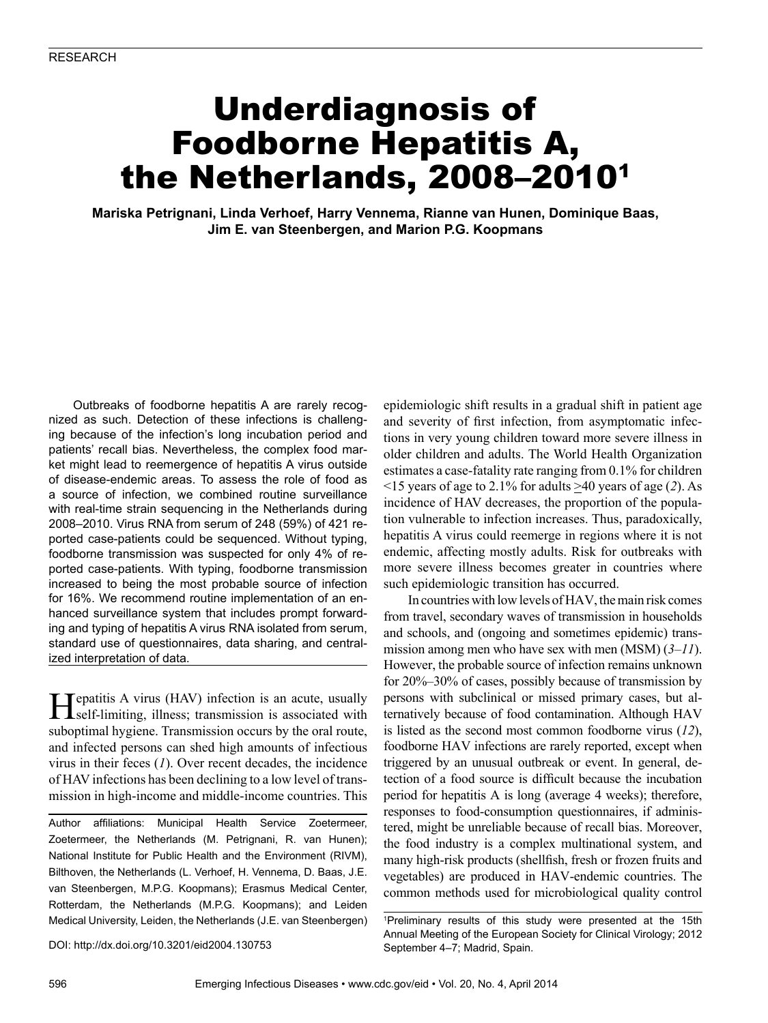# Underdiagnosis of Foodborne Hepatitis A, the Netherlands, 2008–20101

**Mariska Petrignani, Linda Verhoef, Harry Vennema, Rianne van Hunen, Dominique Baas, Jim E. van Steenbergen, and Marion P.G. Koopmans**

Outbreaks of foodborne hepatitis A are rarely recognized as such. Detection of these infections is challenging because of the infection's long incubation period and patients' recall bias. Nevertheless, the complex food market might lead to reemergence of hepatitis A virus outside of disease-endemic areas. To assess the role of food as a source of infection, we combined routine surveillance with real-time strain sequencing in the Netherlands during 2008–2010. Virus RNA from serum of 248 (59%) of 421 reported case-patients could be sequenced. Without typing, foodborne transmission was suspected for only 4% of reported case-patients. With typing, foodborne transmission increased to being the most probable source of infection for 16%. We recommend routine implementation of an enhanced surveillance system that includes prompt forwarding and typing of hepatitis A virus RNA isolated from serum, standard use of questionnaires, data sharing, and centralized interpretation of data.

**Tepatitis A virus (HAV) infection is an acute, usually** self-limiting, illness; transmission is associated with suboptimal hygiene. Transmission occurs by the oral route, and infected persons can shed high amounts of infectious virus in their feces (*1*). Over recent decades, the incidence of HAV infections has been declining to a low level of transmission in high-income and middle-income countries. This

Author affiliations: Municipal Health Service Zoetermeer, Zoetermeer, the Netherlands (M. Petrignani, R. van Hunen); National Institute for Public Health and the Environment (RIVM), Bilthoven, the Netherlands (L. Verhoef, H. Vennema, D. Baas, J.E. van Steenbergen, M.P.G. Koopmans); Erasmus Medical Center, Rotterdam, the Netherlands (M.P.G. Koopmans); and Leiden Medical University, Leiden, the Netherlands (J.E. van Steenbergen)

DOI: http://dx.doi.org/10.3201/eid2004.130753

epidemiologic shift results in a gradual shift in patient age and severity of first infection, from asymptomatic infections in very young children toward more severe illness in older children and adults. The World Health Organization estimates a case-fatality rate ranging from 0.1% for children  $\le$ 15 years of age to 2.1% for adults  $\ge$ 40 years of age (2). As incidence of HAV decreases, the proportion of the population vulnerable to infection increases. Thus, paradoxically, hepatitis A virus could reemerge in regions where it is not endemic, affecting mostly adults. Risk for outbreaks with more severe illness becomes greater in countries where such epidemiologic transition has occurred.

In countries with low levels of HAV, the main risk comes from travel, secondary waves of transmission in households and schools, and (ongoing and sometimes epidemic) transmission among men who have sex with men (MSM) (*3*–*11*). However, the probable source of infection remains unknown for 20%–30% of cases, possibly because of transmission by persons with subclinical or missed primary cases, but alternatively because of food contamination. Although HAV is listed as the second most common foodborne virus (*12*), foodborne HAV infections are rarely reported, except when triggered by an unusual outbreak or event. In general, detection of a food source is difficult because the incubation period for hepatitis A is long (average 4 weeks); therefore, responses to food-consumption questionnaires, if administered, might be unreliable because of recall bias. Moreover, the food industry is a complex multinational system, and many high-risk products (shellfish, fresh or frozen fruits and vegetables) are produced in HAV-endemic countries. The common methods used for microbiological quality control

<sup>1</sup> Preliminary results of this study were presented at the 15th Annual Meeting of the European Society for Clinical Virology; 2012 September 4–7; Madrid, Spain.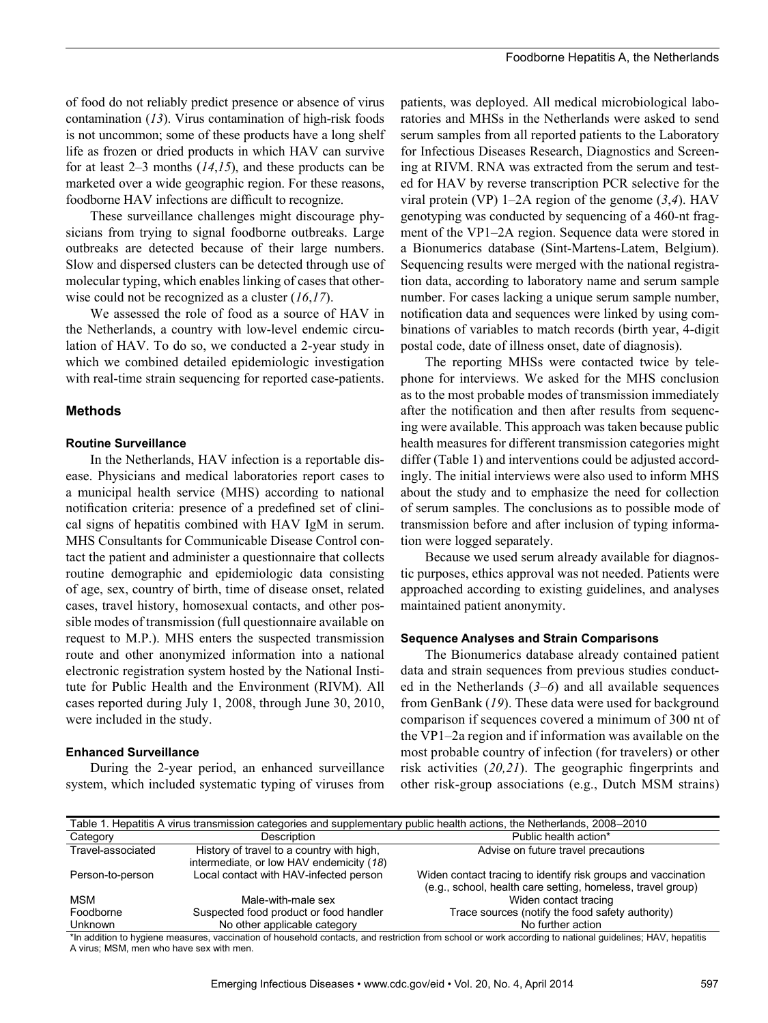of food do not reliably predict presence or absence of virus contamination (*13*). Virus contamination of high-risk foods is not uncommon; some of these products have a long shelf life as frozen or dried products in which HAV can survive for at least 2–3 months (*14*,*15*), and these products can be marketed over a wide geographic region. For these reasons, foodborne HAV infections are difficult to recognize.

These surveillance challenges might discourage physicians from trying to signal foodborne outbreaks. Large outbreaks are detected because of their large numbers. Slow and dispersed clusters can be detected through use of molecular typing, which enables linking of cases that otherwise could not be recognized as a cluster (*16*,*17*).

We assessed the role of food as a source of HAV in the Netherlands, a country with low-level endemic circulation of HAV. To do so, we conducted a 2-year study in which we combined detailed epidemiologic investigation with real-time strain sequencing for reported case-patients.

# **Methods**

#### **Routine Surveillance**

In the Netherlands, HAV infection is a reportable disease. Physicians and medical laboratories report cases to a municipal health service (MHS) according to national notification criteria: presence of a predefined set of clinical signs of hepatitis combined with HAV IgM in serum. MHS Consultants for Communicable Disease Control contact the patient and administer a questionnaire that collects routine demographic and epidemiologic data consisting of age, sex, country of birth, time of disease onset, related cases, travel history, homosexual contacts, and other possible modes of transmission (full questionnaire available on request to M.P.). MHS enters the suspected transmission route and other anonymized information into a national electronic registration system hosted by the National Institute for Public Health and the Environment (RIVM). All cases reported during July 1, 2008, through June 30, 2010, were included in the study.

#### **Enhanced Surveillance**

During the 2-year period, an enhanced surveillance system, which included systematic typing of viruses from

patients, was deployed. All medical microbiological laboratories and MHSs in the Netherlands were asked to send serum samples from all reported patients to the Laboratory for Infectious Diseases Research, Diagnostics and Screening at RIVM. RNA was extracted from the serum and tested for HAV by reverse transcription PCR selective for the viral protein (VP) 1–2A region of the genome (*3*,*4*). HAV genotyping was conducted by sequencing of a 460-nt fragment of the VP1–2A region. Sequence data were stored in a Bionumerics database (Sint-Martens-Latem, Belgium). Sequencing results were merged with the national registration data, according to laboratory name and serum sample number. For cases lacking a unique serum sample number, notification data and sequences were linked by using combinations of variables to match records (birth year, 4-digit postal code, date of illness onset, date of diagnosis).

The reporting MHSs were contacted twice by telephone for interviews. We asked for the MHS conclusion as to the most probable modes of transmission immediately after the notification and then after results from sequencing were available. This approach was taken because public health measures for different transmission categories might differ (Table 1) and interventions could be adjusted accordingly. The initial interviews were also used to inform MHS about the study and to emphasize the need for collection of serum samples. The conclusions as to possible mode of transmission before and after inclusion of typing information were logged separately.

Because we used serum already available for diagnostic purposes, ethics approval was not needed. Patients were approached according to existing guidelines, and analyses maintained patient anonymity.

#### **Sequence Analyses and Strain Comparisons**

The Bionumerics database already contained patient data and strain sequences from previous studies conducted in the Netherlands (*3*–*6*) and all available sequences from GenBank (*19*). These data were used for background comparison if sequences covered a minimum of 300 nt of the VP1–2a region and if information was available on the most probable country of infection (for travelers) or other risk activities (*20,21*). The geographic fingerprints and other risk-group associations (e.g., Dutch MSM strains)

| Table 1. Hepatitis A virus transmission categories and supplementary public health actions, the Netherlands, 2008–2010 |                                                                                       |                                                                                                                              |  |  |
|------------------------------------------------------------------------------------------------------------------------|---------------------------------------------------------------------------------------|------------------------------------------------------------------------------------------------------------------------------|--|--|
| Category                                                                                                               | Description                                                                           | Public health action*                                                                                                        |  |  |
| Travel-associated                                                                                                      | History of travel to a country with high,<br>intermediate, or low HAV endemicity (18) | Advise on future travel precautions                                                                                          |  |  |
| Person-to-person                                                                                                       | Local contact with HAV-infected person                                                | Widen contact tracing to identify risk groups and vaccination<br>(e.g., school, health care setting, homeless, travel group) |  |  |
| MSM                                                                                                                    | Male-with-male sex                                                                    | Widen contact tracing                                                                                                        |  |  |
| Foodborne                                                                                                              | Suspected food product or food handler                                                | Trace sources (notify the food safety authority)                                                                             |  |  |
| <b>Unknown</b>                                                                                                         | No other applicable category                                                          | No further action                                                                                                            |  |  |

\*In addition to hygiene measures, vaccination of household contacts, and restriction from school or work according to national guidelines; HAV, hepatitis A virus; MSM, men who have sex with men.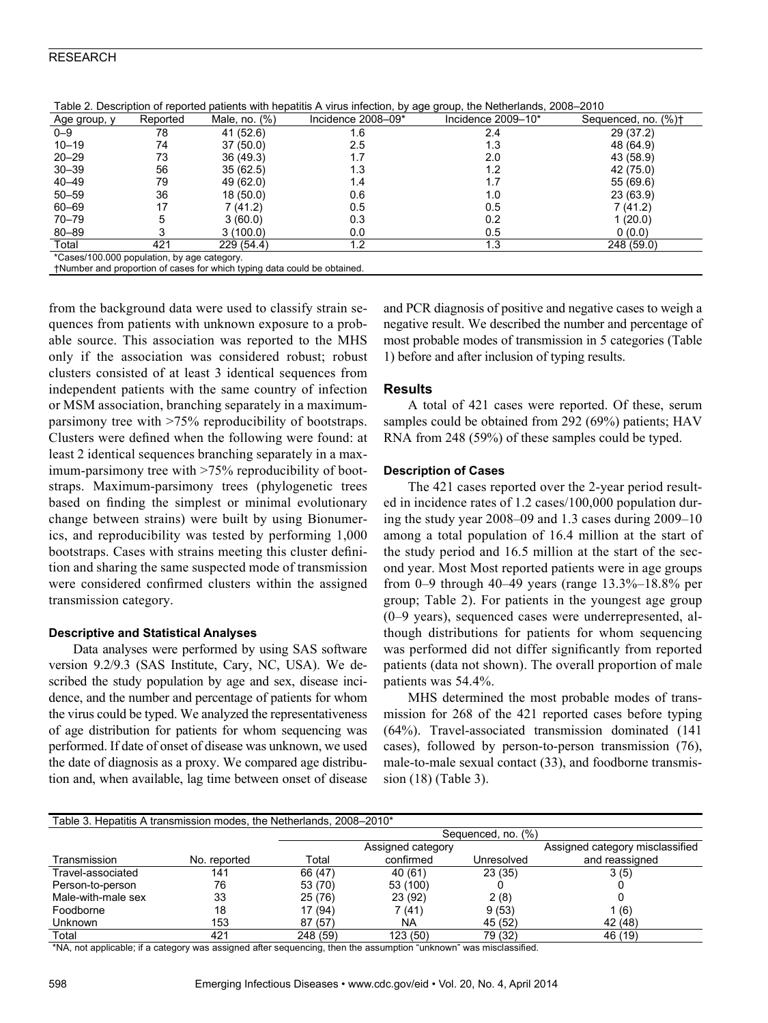# RESEARCH

| Age group, y                                                             | Reported | Male, no. $(\%)$ | Incidence $2008 - 09*$ | Incidence $2009 - 10*$ | Sequenced, no. (%)+ |  |  |
|--------------------------------------------------------------------------|----------|------------------|------------------------|------------------------|---------------------|--|--|
| $0 - 9$                                                                  | 78       | 41 (52.6)        | 1.6                    | 2.4                    | 29 (37.2)           |  |  |
| $10 - 19$                                                                | 74       | 37(50.0)         | $2.5^{\circ}$          | 1.3                    | 48 (64.9)           |  |  |
| $20 - 29$                                                                | 73       | 36(49.3)         | 1.7                    | 2.0                    | 43 (58.9)           |  |  |
| $30 - 39$                                                                | 56       | 35(62.5)         | 1.3                    | 1.2                    | 42 (75.0)           |  |  |
| $40 - 49$                                                                | 79       | 49 (62.0)        | 1.4                    | 1.7                    | 55(69.6)            |  |  |
| $50 - 59$                                                                | 36       | 18 (50.0)        | 0.6                    | 1.0                    | 23 (63.9)           |  |  |
| 60-69                                                                    | 17       | 7(41.2)          | 0.5                    | 0.5                    | 7 (41.2)            |  |  |
| 70–79                                                                    | 5        | 3(60.0)          | 0.3                    | 0.2                    | 1(20.0)             |  |  |
| 80-89                                                                    |          | 3(100.0)         | 0.0                    | 0.5                    | 0(0.0)              |  |  |
| Total                                                                    | 421      | 229 (54.4)       | 1.2                    | 1.3                    | 248 (59.0)          |  |  |
| *Cases/100.000 population, by age category.                              |          |                  |                        |                        |                     |  |  |
| tNumber and proportion of cases for which typing data could be obtained. |          |                  |                        |                        |                     |  |  |

Table 2. Description of reported patients with hepatitis A virus infection, by age group, the Netherlands, 2008–2010

from the background data were used to classify strain sequences from patients with unknown exposure to a probable source. This association was reported to the MHS only if the association was considered robust; robust clusters consisted of at least 3 identical sequences from independent patients with the same country of infection or MSM association, branching separately in a maximumparsimony tree with >75% reproducibility of bootstraps. Clusters were defined when the following were found: at least 2 identical sequences branching separately in a maximum-parsimony tree with >75% reproducibility of bootstraps. Maximum-parsimony trees (phylogenetic trees based on finding the simplest or minimal evolutionary change between strains) were built by using Bionumerics, and reproducibility was tested by performing 1,000 bootstraps. Cases with strains meeting this cluster definition and sharing the same suspected mode of transmission were considered confirmed clusters within the assigned transmission category.

#### **Descriptive and Statistical Analyses**

Data analyses were performed by using SAS software version 9.2/9.3 (SAS Institute, Cary, NC, USA). We described the study population by age and sex, disease incidence, and the number and percentage of patients for whom the virus could be typed. We analyzed the representativeness of age distribution for patients for whom sequencing was performed. If date of onset of disease was unknown, we used the date of diagnosis as a proxy. We compared age distribution and, when available, lag time between onset of disease and PCR diagnosis of positive and negative cases to weigh a negative result. We described the number and percentage of most probable modes of transmission in 5 categories (Table 1) before and after inclusion of typing results.

# **Results**

A total of 421 cases were reported. Of these, serum samples could be obtained from 292 (69%) patients; HAV RNA from 248 (59%) of these samples could be typed.

# **Description of Cases**

The 421 cases reported over the 2-year period resulted in incidence rates of 1.2 cases/100,000 population during the study year 2008–09 and 1.3 cases during 2009–10 among a total population of 16.4 million at the start of the study period and 16.5 million at the start of the second year. Most Most reported patients were in age groups from 0–9 through 40–49 years (range 13.3%–18.8% per group; Table 2). For patients in the youngest age group (0–9 years), sequenced cases were underrepresented, although distributions for patients for whom sequencing was performed did not differ significantly from reported patients (data not shown). The overall proportion of male patients was 54.4%.

MHS determined the most probable modes of transmission for 268 of the 421 reported cases before typing (64%). Travel-associated transmission dominated (141 cases), followed by person-to-person transmission (76), male-to-male sexual contact (33), and foodborne transmission (18) (Table 3).

| Table 3. Hepatitis A transmission modes, the Netherlands, 2008–2010* |              |                    |                   |            |                                 |  |
|----------------------------------------------------------------------|--------------|--------------------|-------------------|------------|---------------------------------|--|
|                                                                      |              | Sequenced, no. (%) |                   |            |                                 |  |
|                                                                      |              |                    | Assigned category |            | Assigned category misclassified |  |
| Transmission                                                         | No. reported | Total              | confirmed         | Unresolved | and reassigned                  |  |
| Travel-associated                                                    | 141          | 66 (47)            | 40 (61)           | 23(35)     | 3(5)                            |  |
| Person-to-person                                                     | 76           | 53 (70)            | 53 (100)          |            |                                 |  |
| Male-with-male sex                                                   | 33           | 25(76)             | 23 (92)           | 2(8)       |                                 |  |
| Foodborne                                                            | 18           | 17 (94)            | 7 (41)            | 9(53)      | (6)                             |  |
| <b>Unknown</b>                                                       | 153          | 87 (57)            | NA.               | 45 (52)    | 42 (48)                         |  |
| Total                                                                | 421          | 248 (59)           | 123(50)           | 79 (32)    | 46 (19)                         |  |

\*NA, not applicable; if a category was assigned after sequencing, then the assumption "unknown" was misclassified.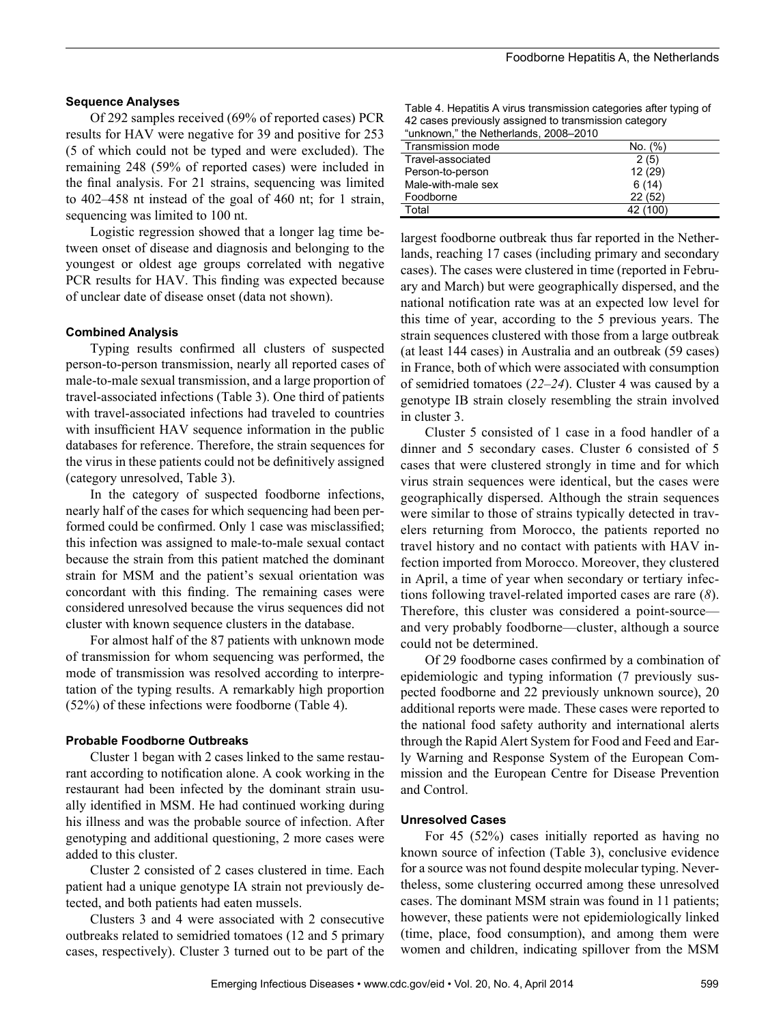## **Sequence Analyses**

Of 292 samples received (69% of reported cases) PCR results for HAV were negative for 39 and positive for 253 (5 of which could not be typed and were excluded). The remaining 248 (59% of reported cases) were included in the final analysis. For 21 strains, sequencing was limited to 402–458 nt instead of the goal of 460 nt; for 1 strain, sequencing was limited to 100 nt.

Logistic regression showed that a longer lag time between onset of disease and diagnosis and belonging to the youngest or oldest age groups correlated with negative PCR results for HAV. This finding was expected because of unclear date of disease onset (data not shown).

## **Combined Analysis**

Typing results confirmed all clusters of suspected person-to-person transmission, nearly all reported cases of male-to-male sexual transmission, and a large proportion of travel-associated infections (Table 3). One third of patients with travel-associated infections had traveled to countries with insufficient HAV sequence information in the public databases for reference. Therefore, the strain sequences for the virus in these patients could not be definitively assigned (category unresolved, Table 3).

In the category of suspected foodborne infections, nearly half of the cases for which sequencing had been performed could be confirmed. Only 1 case was misclassified; this infection was assigned to male-to-male sexual contact because the strain from this patient matched the dominant strain for MSM and the patient's sexual orientation was concordant with this finding. The remaining cases were considered unresolved because the virus sequences did not cluster with known sequence clusters in the database.

For almost half of the 87 patients with unknown mode of transmission for whom sequencing was performed, the mode of transmission was resolved according to interpretation of the typing results. A remarkably high proportion (52%) of these infections were foodborne (Table 4).

#### **Probable Foodborne Outbreaks**

Cluster 1 began with 2 cases linked to the same restaurant according to notification alone. A cook working in the restaurant had been infected by the dominant strain usually identified in MSM. He had continued working during his illness and was the probable source of infection. After genotyping and additional questioning, 2 more cases were added to this cluster.

Cluster 2 consisted of 2 cases clustered in time. Each patient had a unique genotype IA strain not previously detected, and both patients had eaten mussels.

Clusters 3 and 4 were associated with 2 consecutive outbreaks related to semidried tomatoes (12 and 5 primary cases, respectively). Cluster 3 turned out to be part of the

Table 4. Hepatitis A virus transmission categories after typing of 42 cases previously assigned to transmission category "unknown," the Netherlands, 2008–2010

| Transmission mode  | No. (%)  |
|--------------------|----------|
| Travel-associated  | 2(5)     |
| Person-to-person   | 12 (29)  |
| Male-with-male sex | 6(14)    |
| Foodborne          | 22(52)   |
| Total              | 42 (100) |

largest foodborne outbreak thus far reported in the Netherlands, reaching 17 cases (including primary and secondary cases). The cases were clustered in time (reported in February and March) but were geographically dispersed, and the national notification rate was at an expected low level for this time of year, according to the 5 previous years. The strain sequences clustered with those from a large outbreak (at least 144 cases) in Australia and an outbreak (59 cases) in France, both of which were associated with consumption of semidried tomatoes (*22*–*24*). Cluster 4 was caused by a genotype IB strain closely resembling the strain involved in cluster 3.

Cluster 5 consisted of 1 case in a food handler of a dinner and 5 secondary cases. Cluster 6 consisted of 5 cases that were clustered strongly in time and for which virus strain sequences were identical, but the cases were geographically dispersed. Although the strain sequences were similar to those of strains typically detected in travelers returning from Morocco, the patients reported no travel history and no contact with patients with HAV infection imported from Morocco. Moreover, they clustered in April, a time of year when secondary or tertiary infections following travel-related imported cases are rare (*8*). Therefore, this cluster was considered a point-source and very probably foodborne—cluster, although a source could not be determined.

Of 29 foodborne cases confirmed by a combination of epidemiologic and typing information (7 previously suspected foodborne and 22 previously unknown source), 20 additional reports were made. These cases were reported to the national food safety authority and international alerts through the Rapid Alert System for Food and Feed and Early Warning and Response System of the European Commission and the European Centre for Disease Prevention and Control.

## **Unresolved Cases**

For 45 (52%) cases initially reported as having no known source of infection (Table 3), conclusive evidence for a source was not found despite molecular typing. Nevertheless, some clustering occurred among these unresolved cases. The dominant MSM strain was found in 11 patients; however, these patients were not epidemiologically linked (time, place, food consumption), and among them were women and children, indicating spillover from the MSM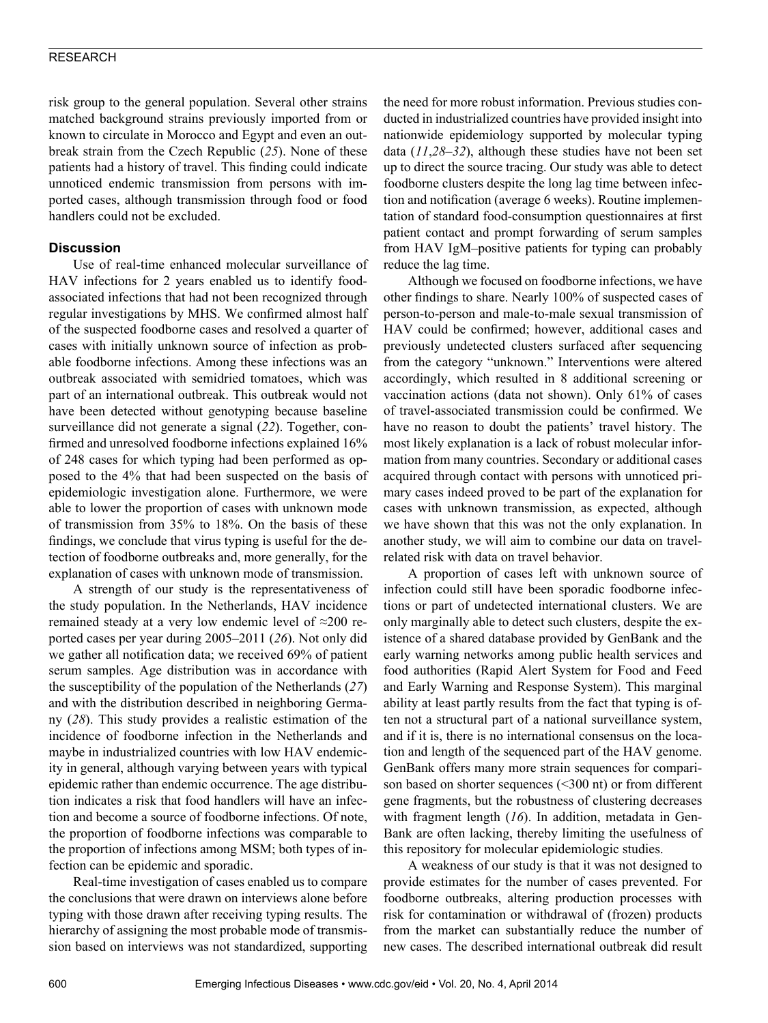# RESEARCH

risk group to the general population. Several other strains matched background strains previously imported from or known to circulate in Morocco and Egypt and even an outbreak strain from the Czech Republic (*25*). None of these patients had a history of travel. This finding could indicate unnoticed endemic transmission from persons with imported cases, although transmission through food or food handlers could not be excluded.

# **Discussion**

Use of real-time enhanced molecular surveillance of HAV infections for 2 years enabled us to identify foodassociated infections that had not been recognized through regular investigations by MHS. We confirmed almost half of the suspected foodborne cases and resolved a quarter of cases with initially unknown source of infection as probable foodborne infections. Among these infections was an outbreak associated with semidried tomatoes, which was part of an international outbreak. This outbreak would not have been detected without genotyping because baseline surveillance did not generate a signal (*22*). Together, confirmed and unresolved foodborne infections explained 16% of 248 cases for which typing had been performed as opposed to the 4% that had been suspected on the basis of epidemiologic investigation alone. Furthermore, we were able to lower the proportion of cases with unknown mode of transmission from 35% to 18%. On the basis of these findings, we conclude that virus typing is useful for the detection of foodborne outbreaks and, more generally, for the explanation of cases with unknown mode of transmission.

A strength of our study is the representativeness of the study population. In the Netherlands, HAV incidence remained steady at a very low endemic level of ≈200 reported cases per year during 2005–2011 (*26*). Not only did we gather all notification data; we received 69% of patient serum samples. Age distribution was in accordance with the susceptibility of the population of the Netherlands (*27*) and with the distribution described in neighboring Germany (*28*). This study provides a realistic estimation of the incidence of foodborne infection in the Netherlands and maybe in industrialized countries with low HAV endemicity in general, although varying between years with typical epidemic rather than endemic occurrence. The age distribution indicates a risk that food handlers will have an infection and become a source of foodborne infections. Of note, the proportion of foodborne infections was comparable to the proportion of infections among MSM; both types of infection can be epidemic and sporadic.

Real-time investigation of cases enabled us to compare the conclusions that were drawn on interviews alone before typing with those drawn after receiving typing results. The hierarchy of assigning the most probable mode of transmission based on interviews was not standardized, supporting

the need for more robust information. Previous studies conducted in industrialized countries have provided insight into nationwide epidemiology supported by molecular typing data (*11*,*28*–*32*), although these studies have not been set up to direct the source tracing. Our study was able to detect foodborne clusters despite the long lag time between infection and notification (average 6 weeks). Routine implementation of standard food-consumption questionnaires at first patient contact and prompt forwarding of serum samples from HAV IgM–positive patients for typing can probably reduce the lag time.

Although we focused on foodborne infections, we have other findings to share. Nearly 100% of suspected cases of person-to-person and male-to-male sexual transmission of HAV could be confirmed; however, additional cases and previously undetected clusters surfaced after sequencing from the category "unknown." Interventions were altered accordingly, which resulted in 8 additional screening or vaccination actions (data not shown). Only 61% of cases of travel-associated transmission could be confirmed. We have no reason to doubt the patients' travel history. The most likely explanation is a lack of robust molecular information from many countries. Secondary or additional cases acquired through contact with persons with unnoticed primary cases indeed proved to be part of the explanation for cases with unknown transmission, as expected, although we have shown that this was not the only explanation. In another study, we will aim to combine our data on travelrelated risk with data on travel behavior.

A proportion of cases left with unknown source of infection could still have been sporadic foodborne infections or part of undetected international clusters. We are only marginally able to detect such clusters, despite the existence of a shared database provided by GenBank and the early warning networks among public health services and food authorities (Rapid Alert System for Food and Feed and Early Warning and Response System). This marginal ability at least partly results from the fact that typing is often not a structural part of a national surveillance system, and if it is, there is no international consensus on the location and length of the sequenced part of the HAV genome. GenBank offers many more strain sequences for comparison based on shorter sequences (<300 nt) or from different gene fragments, but the robustness of clustering decreases with fragment length (*16*). In addition, metadata in Gen-Bank are often lacking, thereby limiting the usefulness of this repository for molecular epidemiologic studies.

A weakness of our study is that it was not designed to provide estimates for the number of cases prevented. For foodborne outbreaks, altering production processes with risk for contamination or withdrawal of (frozen) products from the market can substantially reduce the number of new cases. The described international outbreak did result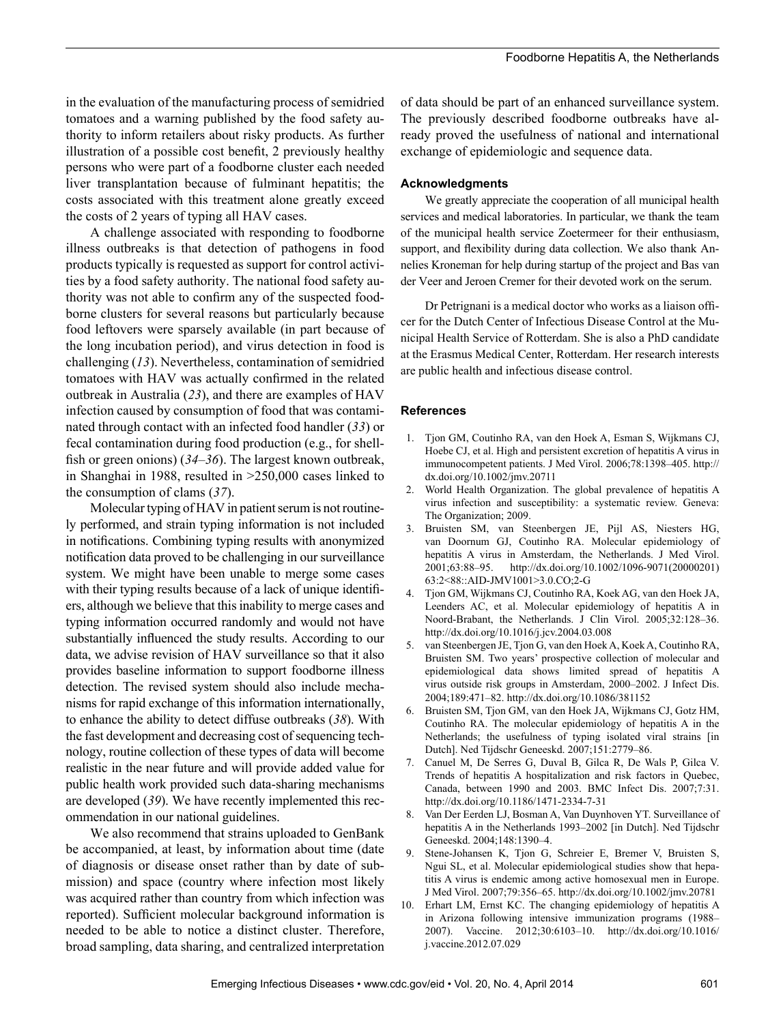in the evaluation of the manufacturing process of semidried tomatoes and a warning published by the food safety authority to inform retailers about risky products. As further illustration of a possible cost benefit, 2 previously healthy persons who were part of a foodborne cluster each needed liver transplantation because of fulminant hepatitis; the costs associated with this treatment alone greatly exceed the costs of 2 years of typing all HAV cases.

A challenge associated with responding to foodborne illness outbreaks is that detection of pathogens in food products typically is requested as support for control activities by a food safety authority. The national food safety authority was not able to confirm any of the suspected foodborne clusters for several reasons but particularly because food leftovers were sparsely available (in part because of the long incubation period), and virus detection in food is challenging (*13*). Nevertheless, contamination of semidried tomatoes with HAV was actually confirmed in the related outbreak in Australia (*23*), and there are examples of HAV infection caused by consumption of food that was contaminated through contact with an infected food handler (*33*) or fecal contamination during food production (e.g., for shellfish or green onions) (*34*–*36*). The largest known outbreak, in Shanghai in 1988, resulted in >250,000 cases linked to the consumption of clams (*37*).

Molecular typing of HAV in patient serum is not routinely performed, and strain typing information is not included in notifications. Combining typing results with anonymized notification data proved to be challenging in our surveillance system. We might have been unable to merge some cases with their typing results because of a lack of unique identifiers, although we believe that this inability to merge cases and typing information occurred randomly and would not have substantially influenced the study results. According to our data, we advise revision of HAV surveillance so that it also provides baseline information to support foodborne illness detection. The revised system should also include mechanisms for rapid exchange of this information internationally, to enhance the ability to detect diffuse outbreaks (*38*). With the fast development and decreasing cost of sequencing technology, routine collection of these types of data will become realistic in the near future and will provide added value for public health work provided such data-sharing mechanisms are developed (*39*). We have recently implemented this recommendation in our national guidelines.

We also recommend that strains uploaded to GenBank be accompanied, at least, by information about time (date of diagnosis or disease onset rather than by date of submission) and space (country where infection most likely was acquired rather than country from which infection was reported). Sufficient molecular background information is needed to be able to notice a distinct cluster. Therefore, broad sampling, data sharing, and centralized interpretation of data should be part of an enhanced surveillance system. The previously described foodborne outbreaks have already proved the usefulness of national and international exchange of epidemiologic and sequence data.

#### **Acknowledgments**

We greatly appreciate the cooperation of all municipal health services and medical laboratories. In particular, we thank the team of the municipal health service Zoetermeer for their enthusiasm, support, and flexibility during data collection. We also thank Annelies Kroneman for help during startup of the project and Bas van der Veer and Jeroen Cremer for their devoted work on the serum.

Dr Petrignani is a medical doctor who works as a liaison officer for the Dutch Center of Infectious Disease Control at the Municipal Health Service of Rotterdam. She is also a PhD candidate at the Erasmus Medical Center, Rotterdam. Her research interests are public health and infectious disease control.

#### **References**

- 1. Tjon GM, Coutinho RA, van den Hoek A, Esman S, Wijkmans CJ, Hoebe CJ, et al. High and persistent excretion of hepatitis A virus in immunocompetent patients. J Med Virol. 2006;78:1398–405. http:// dx.doi.org/10.1002/jmv.20711
- 2. World Health Organization. The global prevalence of hepatitis A virus infection and susceptibility: a systematic review. Geneva: The Organization; 2009.
- 3. Bruisten SM, van Steenbergen JE, Pijl AS, Niesters HG, van Doornum GJ, Coutinho RA. Molecular epidemiology of hepatitis A virus in Amsterdam, the Netherlands. J Med Virol. 2001;63:88–95. http://dx.doi.org/10.1002/1096-9071(20000201) 63:2<88::AID-JMV1001>3.0.CO;2-G
- 4. Tjon GM, Wijkmans CJ, Coutinho RA, Koek AG, van den Hoek JA, Leenders AC, et al. Molecular epidemiology of hepatitis A in Noord-Brabant, the Netherlands. J Clin Virol. 2005;32:128–36. http://dx.doi.org/10.1016/j.jcv.2004.03.008
- 5. van Steenbergen JE, Tjon G, van den Hoek A, Koek A, Coutinho RA, Bruisten SM. Two years' prospective collection of molecular and epidemiological data shows limited spread of hepatitis A virus outside risk groups in Amsterdam, 2000–2002. J Infect Dis. 2004;189:471–82. http://dx.doi.org/10.1086/381152
- 6. Bruisten SM, Tjon GM, van den Hoek JA, Wijkmans CJ, Gotz HM, Coutinho RA. The molecular epidemiology of hepatitis A in the Netherlands; the usefulness of typing isolated viral strains [in Dutch]. Ned Tijdschr Geneeskd. 2007;151:2779–86.
- 7. Canuel M, De Serres G, Duval B, Gilca R, De Wals P, Gilca V. Trends of hepatitis A hospitalization and risk factors in Quebec, Canada, between 1990 and 2003. BMC Infect Dis. 2007;7:31. http://dx.doi.org/10.1186/1471-2334-7-31
- 8. Van Der Eerden LJ, Bosman A, Van Duynhoven YT. Surveillance of hepatitis A in the Netherlands 1993–2002 [in Dutch]. Ned Tijdschr Geneeskd. 2004;148:1390–4.
- 9. Stene-Johansen K, Tjon G, Schreier E, Bremer V, Bruisten S, Ngui SL, et al. Molecular epidemiological studies show that hepatitis A virus is endemic among active homosexual men in Europe. J Med Virol. 2007;79:356–65. http://dx.doi.org/10.1002/jmv.20781
- 10. Erhart LM, Ernst KC. The changing epidemiology of hepatitis A in Arizona following intensive immunization programs (1988– 2007). Vaccine. 2012;30:6103–10. http://dx.doi.org/10.1016/ j.vaccine.2012.07.029